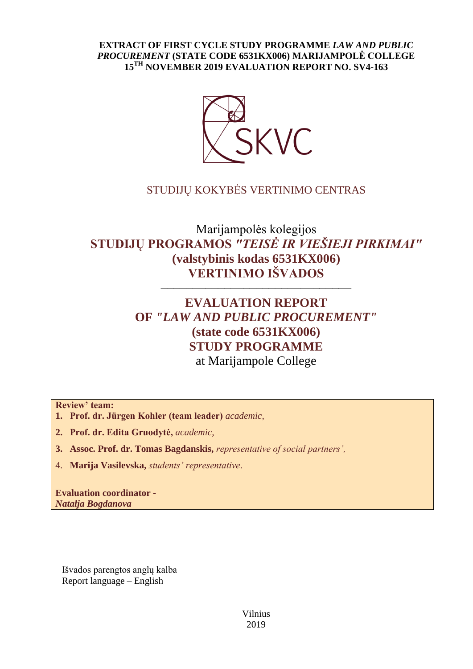## **EXTRACT OF FIRST CYCLE STUDY PROGRAMME** *LAW AND PUBLIC PROCUREMENT* **(STATE CODE 6531KX006) MARIJAMPOLĖ COLLEGE 15TH NOVEMBER 2019 EVALUATION REPORT NO. SV4-163**



## STUDIJŲ KOKYBĖS VERTINIMO CENTRAS

# Marijampolės kolegijos **STUDIJŲ PROGRAMOS** *"TEISĖ IR VIEŠIEJI PIRKIMAI"*  **(valstybinis kodas 6531KX006) VERTINIMO IŠVADOS**

––––––––––––––––––––––––––––––

# **EVALUATION REPORT OF** *"LAW AND PUBLIC PROCUREMENT"* **(state code 6531KX006) STUDY PROGRAMME** at Marijampole College

**Review' team:** 

- **1. Prof. dr. Jürgen Kohler (team leader)** *academic,*
- **2. Prof. dr. Edita Gruodytė,** *academic,*
- **3. Assoc. Prof. dr. Tomas Bagdanskis,** *representative of social partners',*
- 4. **Marija Vasilevska,** *students' representative*.

**Evaluation coordinator -** *Natalja Bogdanova* 

Išvados parengtos anglų kalba Report language – English

> Vilnius 2019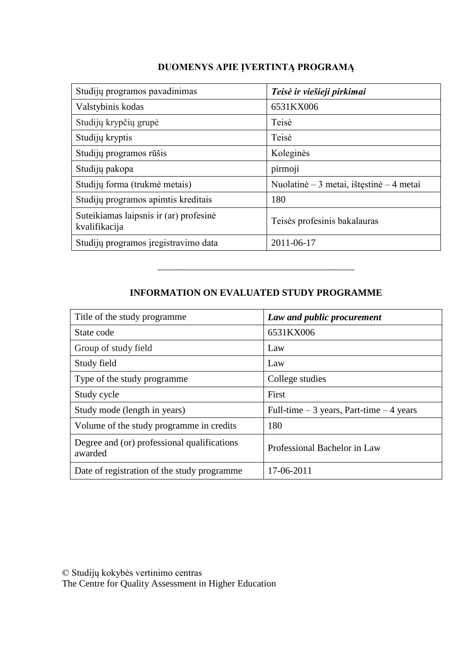## **DUOMENYS APIE ĮVERTINTĄ PROGRAMĄ**

| Studijų programos pavadinimas                           | Teisė ir viešieji pirkimai               |  |
|---------------------------------------------------------|------------------------------------------|--|
| Valstybinis kodas                                       | 6531KX006                                |  |
| Studijų krypčių grupė                                   | Teisė                                    |  |
| Studijų kryptis                                         | Teisė                                    |  |
| Studijų programos rūšis                                 | Koleginės                                |  |
| Studijų pakopa                                          | pirmoji                                  |  |
| Studijų forma (trukmė metais)                           | Nuolatinė – 3 metai, ištęstinė – 4 metai |  |
| Studijų programos apimtis kreditais                     | 180                                      |  |
| Suteikiamas laipsnis ir (ar) profesinė<br>kvalifikacija | Teisės profesinis bakalauras             |  |
| Studijų programos įregistravimo data                    | 2011-06-17                               |  |

## **INFORMATION ON EVALUATED STUDY PROGRAMME**

–––––––––––––––––––––––––––––––

| Title of the study programme.                          | Law and public procurement                 |  |
|--------------------------------------------------------|--------------------------------------------|--|
| State code                                             | 6531KX006                                  |  |
| Group of study field                                   | Law                                        |  |
| Study field                                            | Law                                        |  |
| Type of the study programme.                           | College studies                            |  |
| Study cycle                                            | First                                      |  |
| Study mode (length in years)                           | Full-time $-3$ years, Part-time $-4$ years |  |
| Volume of the study programme in credits               | 180                                        |  |
| Degree and (or) professional qualifications<br>awarded | Professional Bachelor in Law               |  |
| Date of registration of the study programme            | 17-06-2011                                 |  |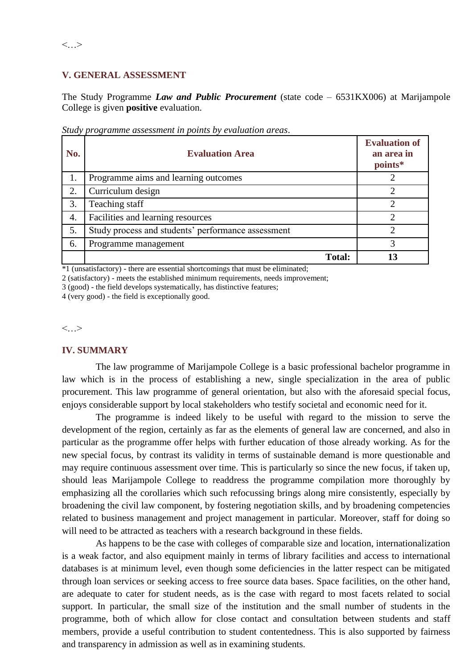### **V. GENERAL ASSESSMENT**

The Study Programme *Law and Public Procurement* (state code – 6531KX006) at Marijampole College is given **positive** evaluation.

| No. | <b>Evaluation Area</b>                             | <b>Evaluation of</b><br>an area in<br>points* |
|-----|----------------------------------------------------|-----------------------------------------------|
| 1.  | Programme aims and learning outcomes               |                                               |
| 2.  | Curriculum design                                  |                                               |
| 3.  | Teaching staff                                     | 2                                             |
| 4.  | Facilities and learning resources                  | 2                                             |
| 5.  | Study process and students' performance assessment | $\mathcal{D}_{\mathcal{L}}$                   |
| 6.  | Programme management                               |                                               |
|     | <b>Total:</b>                                      | 13                                            |

*Study programme assessment in points by evaluation areas*.

 $*1$  (unsatisfactory) - there are essential shortcomings that must be eliminated;

2 (satisfactory) - meets the established minimum requirements, needs improvement;

3 (good) - the field develops systematically, has distinctive features;

4 (very good) - the field is exceptionally good.

 $\langle \quad \rangle$ 

### **IV. SUMMARY**

The law programme of Marijampole College is a basic professional bachelor programme in law which is in the process of establishing a new, single specialization in the area of public procurement. This law programme of general orientation, but also with the aforesaid special focus, enjoys considerable support by local stakeholders who testify societal and economic need for it.

The programme is indeed likely to be useful with regard to the mission to serve the development of the region, certainly as far as the elements of general law are concerned, and also in particular as the programme offer helps with further education of those already working. As for the new special focus, by contrast its validity in terms of sustainable demand is more questionable and may require continuous assessment over time. This is particularly so since the new focus, if taken up, should leas Marijampole College to readdress the programme compilation more thoroughly by emphasizing all the corollaries which such refocussing brings along mire consistently, especially by broadening the civil law component, by fostering negotiation skills, and by broadening competencies related to business management and project management in particular. Moreover, staff for doing so will need to be attracted as teachers with a research background in these fields.

As happens to be the case with colleges of comparable size and location, internationalization is a weak factor, and also equipment mainly in terms of library facilities and access to international databases is at minimum level, even though some deficiencies in the latter respect can be mitigated through loan services or seeking access to free source data bases. Space facilities, on the other hand, are adequate to cater for student needs, as is the case with regard to most facets related to social support. In particular, the small size of the institution and the small number of students in the programme, both of which allow for close contact and consultation between students and staff members, provide a useful contribution to student contentedness. This is also supported by fairness and transparency in admission as well as in examining students.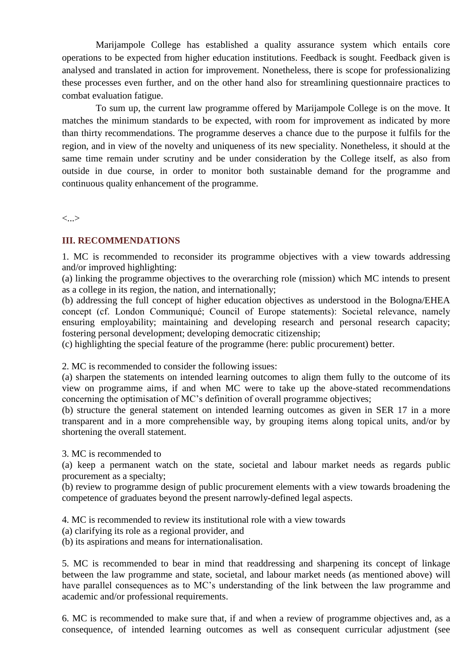Marijampole College has established a quality assurance system which entails core operations to be expected from higher education institutions. Feedback is sought. Feedback given is analysed and translated in action for improvement. Nonetheless, there is scope for professionalizing these processes even further, and on the other hand also for streamlining questionnaire practices to combat evaluation fatigue.

To sum up, the current law programme offered by Marijampole College is on the move. It matches the minimum standards to be expected, with room for improvement as indicated by more than thirty recommendations. The programme deserves a chance due to the purpose it fulfils for the region, and in view of the novelty and uniqueness of its new speciality. Nonetheless, it should at the same time remain under scrutiny and be under consideration by the College itself, as also from outside in due course, in order to monitor both sustainable demand for the programme and continuous quality enhancement of the programme.

<...>

#### **III. RECOMMENDATIONS**

1. MC is recommended to reconsider its programme objectives with a view towards addressing and/or improved highlighting:

(a) linking the programme objectives to the overarching role (mission) which MC intends to present as a college in its region, the nation, and internationally;

(b) addressing the full concept of higher education objectives as understood in the Bologna/EHEA concept (cf. London Communiqué; Council of Europe statements): Societal relevance, namely ensuring employability; maintaining and developing research and personal research capacity; fostering personal development; developing democratic citizenship;

(c) highlighting the special feature of the programme (here: public procurement) better.

2. MC is recommended to consider the following issues:

(a) sharpen the statements on intended learning outcomes to align them fully to the outcome of its view on programme aims, if and when MC were to take up the above-stated recommendations concerning the optimisation of MC's definition of overall programme objectives;

(b) structure the general statement on intended learning outcomes as given in SER 17 in a more transparent and in a more comprehensible way, by grouping items along topical units, and/or by shortening the overall statement.

3. MC is recommended to

(a) keep a permanent watch on the state, societal and labour market needs as regards public procurement as a specialty;

(b) review to programme design of public procurement elements with a view towards broadening the competence of graduates beyond the present narrowly-defined legal aspects.

4. MC is recommended to review its institutional role with a view towards

(a) clarifying its role as a regional provider, and

(b) its aspirations and means for internationalisation.

5. MC is recommended to bear in mind that readdressing and sharpening its concept of linkage between the law programme and state, societal, and labour market needs (as mentioned above) will have parallel consequences as to MC's understanding of the link between the law programme and academic and/or professional requirements.

6. MC is recommended to make sure that, if and when a review of programme objectives and, as a consequence, of intended learning outcomes as well as consequent curricular adjustment (see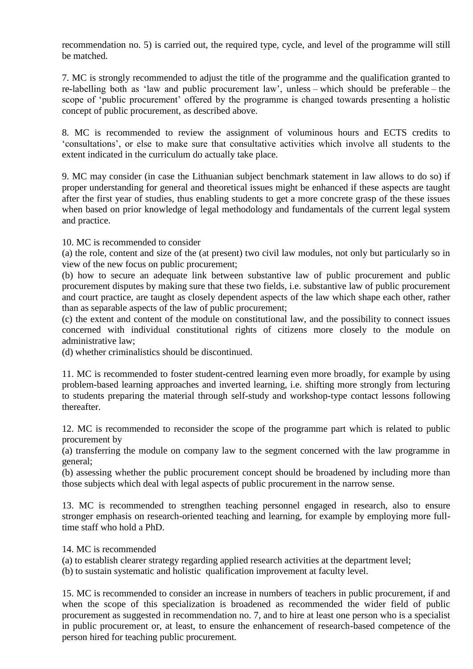recommendation no. 5) is carried out, the required type, cycle, and level of the programme will still be matched.

7. MC is strongly recommended to adjust the title of the programme and the qualification granted to re-labelling both as 'law and public procurement law', unless – which should be preferable – the scope of 'public procurement' offered by the programme is changed towards presenting a holistic concept of public procurement, as described above.

8. MC is recommended to review the assignment of voluminous hours and ECTS credits to 'consultations', or else to make sure that consultative activities which involve all students to the extent indicated in the curriculum do actually take place.

9. MC may consider (in case the Lithuanian subject benchmark statement in law allows to do so) if proper understanding for general and theoretical issues might be enhanced if these aspects are taught after the first year of studies, thus enabling students to get a more concrete grasp of the these issues when based on prior knowledge of legal methodology and fundamentals of the current legal system and practice.

10. MC is recommended to consider

(a) the role, content and size of the (at present) two civil law modules, not only but particularly so in view of the new focus on public procurement;

(b) how to secure an adequate link between substantive law of public procurement and public procurement disputes by making sure that these two fields, i.e. substantive law of public procurement and court practice, are taught as closely dependent aspects of the law which shape each other, rather than as separable aspects of the law of public procurement;

(c) the extent and content of the module on constitutional law, and the possibility to connect issues concerned with individual constitutional rights of citizens more closely to the module on administrative law;

(d) whether criminalistics should be discontinued.

11. MC is recommended to foster student-centred learning even more broadly, for example by using problem-based learning approaches and inverted learning, i.e. shifting more strongly from lecturing to students preparing the material through self-study and workshop-type contact lessons following thereafter.

12. MC is recommended to reconsider the scope of the programme part which is related to public procurement by

(a) transferring the module on company law to the segment concerned with the law programme in general;

(b) assessing whether the public procurement concept should be broadened by including more than those subjects which deal with legal aspects of public procurement in the narrow sense.

13. MC is recommended to strengthen teaching personnel engaged in research, also to ensure stronger emphasis on research-oriented teaching and learning, for example by employing more fulltime staff who hold a PhD.

14. MC is recommended

(a) to establish clearer strategy regarding applied research activities at the department level;

(b) to sustain systematic and holistic qualification improvement at faculty level.

15. MC is recommended to consider an increase in numbers of teachers in public procurement, if and when the scope of this specialization is broadened as recommended the wider field of public procurement as suggested in recommendation no. 7, and to hire at least one person who is a specialist in public procurement or, at least, to ensure the enhancement of research-based competence of the person hired for teaching public procurement.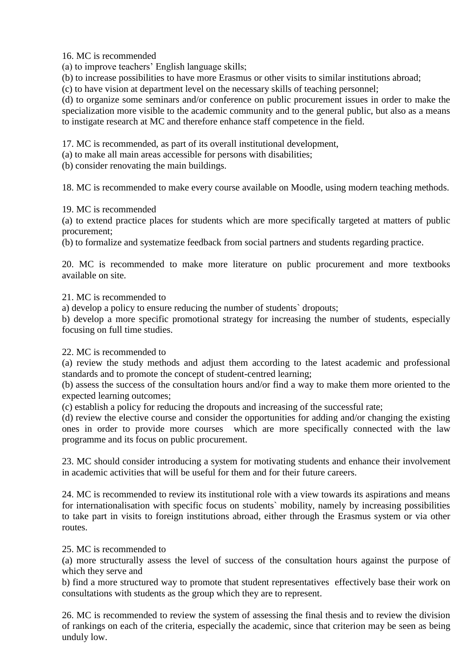16. MC is recommended

(a) to improve teachers' English language skills;

(b) to increase possibilities to have more Erasmus or other visits to similar institutions abroad;

(c) to have vision at department level on the necessary skills of teaching personnel;

(d) to organize some seminars and/or conference on public procurement issues in order to make the specialization more visible to the academic community and to the general public, but also as a means to instigate research at MC and therefore enhance staff competence in the field.

17. MC is recommended, as part of its overall institutional development,

(a) to make all main areas accessible for persons with disabilities;

(b) consider renovating the main buildings.

18. MC is recommended to make every course available on Moodle, using modern teaching methods.

19. MC is recommended

(a) to extend practice places for students which are more specifically targeted at matters of public procurement;

(b) to formalize and systematize feedback from social partners and students regarding practice.

20. MC is recommended to make more literature on public procurement and more textbooks available on site.

21. MC is recommended to

a) develop a policy to ensure reducing the number of students` dropouts;

b) develop a more specific promotional strategy for increasing the number of students, especially focusing on full time studies.

22. MC is recommended to

(a) review the study methods and adjust them according to the latest academic and professional standards and to promote the concept of student-centred learning;

(b) assess the success of the consultation hours and/or find a way to make them more oriented to the expected learning outcomes;

(c) establish a policy for reducing the dropouts and increasing of the successful rate;

(d) review the elective course and consider the opportunities for adding and/or changing the existing ones in order to provide more courses which are more specifically connected with the law programme and its focus on public procurement.

23. MC should consider introducing a system for motivating students and enhance their involvement in academic activities that will be useful for them and for their future careers.

24. MC is recommended to review its institutional role with a view towards its aspirations and means for internationalisation with specific focus on students` mobility, namely by increasing possibilities to take part in visits to foreign institutions abroad, either through the Erasmus system or via other routes.

25. MC is recommended to

(a) more structurally assess the level of success of the consultation hours against the purpose of which they serve and

b) find a more structured way to promote that student representatives effectively base their work on consultations with students as the group which they are to represent.

26. MC is recommended to review the system of assessing the final thesis and to review the division of rankings on each of the criteria, especially the academic, since that criterion may be seen as being unduly low.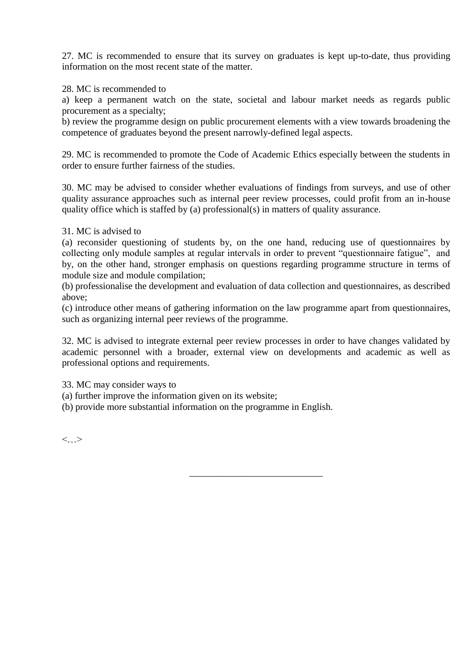27. MC is recommended to ensure that its survey on graduates is kept up-to-date, thus providing information on the most recent state of the matter.

28. MC is recommended to

a) keep a permanent watch on the state, societal and labour market needs as regards public procurement as a specialty;

b) review the programme design on public procurement elements with a view towards broadening the competence of graduates beyond the present narrowly-defined legal aspects.

29. MC is recommended to promote the Code of Academic Ethics especially between the students in order to ensure further fairness of the studies.

30. MC may be advised to consider whether evaluations of findings from surveys, and use of other quality assurance approaches such as internal peer review processes, could profit from an in-house quality office which is staffed by (a) professional(s) in matters of quality assurance.

#### 31. MC is advised to

(a) reconsider questioning of students by, on the one hand, reducing use of questionnaires by collecting only module samples at regular intervals in order to prevent "questionnaire fatigue", and by, on the other hand, stronger emphasis on questions regarding programme structure in terms of module size and module compilation;

(b) professionalise the development and evaluation of data collection and questionnaires, as described above;

(c) introduce other means of gathering information on the law programme apart from questionnaires, such as organizing internal peer reviews of the programme.

32. MC is advised to integrate external peer review processes in order to have changes validated by academic personnel with a broader, external view on developments and academic as well as professional options and requirements.

\_\_\_\_\_\_\_\_\_\_\_\_\_\_\_\_\_\_\_\_\_\_\_\_\_\_\_\_

33. MC may consider ways to

(a) further improve the information given on its website;

(b) provide more substantial information on the programme in English.

 $\langle$  >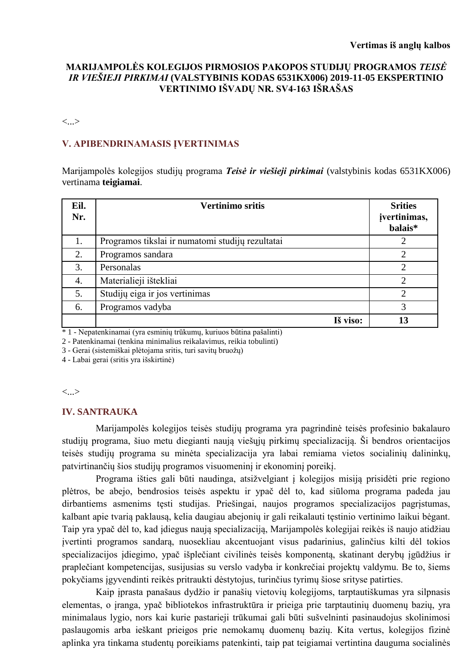## **MARIJAMPOLĖS KOLEGIJOS PIRMOSIOS PAKOPOS STUDIJŲ PROGRAMOS** *TEISĖ IR VIEŠIEJI PIRKIMAI* **(VALSTYBINIS KODAS 6531KX006) 2019-11-05 EKSPERTINIO VERTINIMO IŠVADŲ NR. SV4-163 IŠRAŠAS**

<...>

## **V. APIBENDRINAMASIS ĮVERTINIMAS**

Marijampolės kolegijos studijų programa *Teisė ir viešieji pirkimai* (valstybinis kodas 6531KX006) vertinama **teigiamai**.

| Eil.<br>Nr. | <b>Vertinimo sritis</b>                          |          | <b>Srities</b><br>jvertinimas,<br>balais* |
|-------------|--------------------------------------------------|----------|-------------------------------------------|
| 1.          | Programos tikslai ir numatomi studijų rezultatai |          | 2                                         |
| 2.          | Programos sandara                                |          | $\overline{2}$                            |
| 3.          | Personalas                                       |          | ↑                                         |
| 4.          | Materialieji ištekliai                           |          | $\overline{2}$                            |
| 5.          | Studijų eiga ir jos vertinimas                   |          | $\overline{2}$                            |
| 6.          | Programos vadyba                                 |          | 3                                         |
|             |                                                  | Iš viso: | 13                                        |

\* 1 - Nepatenkinamai (yra esminių trūkumų, kuriuos būtina pašalinti)

2 - Patenkinamai (tenkina minimalius reikalavimus, reikia tobulinti)

3 - Gerai (sistemiškai plėtojama sritis, turi savitų bruožų)

4 - Labai gerai (sritis yra išskirtinė)

<...>

#### **IV. SANTRAUKA**

Marijampolės kolegijos teisės studijų programa yra pagrindinė teisės profesinio bakalauro studijų programa, šiuo metu diegianti naują viešųjų pirkimų specializaciją. Ši bendros orientacijos teisės studijų programa su minėta specializacija yra labai remiama vietos socialinių dalininkų, patvirtinančių šios studijų programos visuomeninį ir ekonominį poreikį.

Programa išties gali būti naudinga, atsižvelgiant į kolegijos misiją prisidėti prie regiono plėtros, be abejo, bendrosios teisės aspektu ir ypač dėl to, kad siūloma programa padeda jau dirbantiems asmenims tęsti studijas. Priešingai, naujos programos specializacijos pagrįstumas, kalbant apie tvarią paklausą, kelia daugiau abejonių ir gali reikalauti tęstinio vertinimo laikui bėgant. Taip yra ypač dėl to, kad įdiegus naują specializaciją, Marijampolės kolegijai reikės iš naujo atidžiau įvertinti programos sandarą, nuosekliau akcentuojant visus padarinius, galinčius kilti dėl tokios specializacijos įdiegimo, ypač išplečiant civilinės teisės komponentą, skatinant derybų įgūdžius ir praplečiant kompetencijas, susijusias su verslo vadyba ir konkrečiai projektų valdymu. Be to, šiems pokyčiams įgyvendinti reikės pritraukti dėstytojus, turinčius tyrimų šiose srityse patirties.

Kaip įprasta panašaus dydžio ir panašių vietovių kolegijoms, tarptautiškumas yra silpnasis elementas, o įranga, ypač bibliotekos infrastruktūra ir prieiga prie tarptautinių duomenų bazių, yra minimalaus lygio, nors kai kurie pastarieji trūkumai gali būti sušvelninti pasinaudojus skolinimosi paslaugomis arba ieškant prieigos prie nemokamų duomenų bazių. Kita vertus, kolegijos fizinė aplinka yra tinkama studentų poreikiams patenkinti, taip pat teigiamai vertintina dauguma socialinės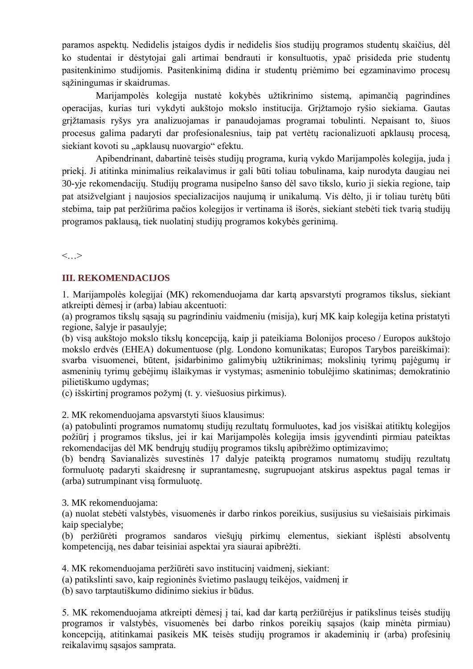paramos aspektų. Nedidelis įstaigos dydis ir nedidelis šios studijų programos studentų skaičius, dėl ko studentai ir dėstytojai gali artimai bendrauti ir konsultuotis, ypač prisideda prie studentų pasitenkinimo studijomis. Pasitenkinimą didina ir studentų priėmimo bei egzaminavimo procesų sąžiningumas ir skaidrumas.

Marijampolės kolegija nustatė kokybės užtikrinimo sistemą, apimančią pagrindines operacijas, kurias turi vykdyti aukštojo mokslo institucija. Grįžtamojo ryšio siekiama. Gautas grįžtamasis ryšys yra analizuojamas ir panaudojamas programai tobulinti. Nepaisant to, šiuos procesus galima padaryti dar profesionalesnius, taip pat vertėtų racionalizuoti apklausų procesą, siekiant kovoti su "apklausų nuovargio" efektu.

Apibendrinant, dabartinė teisės studijų programa, kurią vykdo Marijampolės kolegija, juda į priekį. Ji atitinka minimalius reikalavimus ir gali būti toliau tobulinama, kaip nurodyta daugiau nei 30-yje rekomendacijų. Studijų programa nusipelno šanso dėl savo tikslo, kurio ji siekia regione, taip pat atsižvelgiant į naujosios specializacijos naujumą ir unikalumą. Vis dėlto, ji ir toliau turėtų būti stebima, taip pat peržiūrima pačios kolegijos ir vertinama iš išorės, siekiant stebėti tiek tvarią studijų programos paklausą, tiek nuolatinį studijų programos kokybės gerinimą.

<…>

## **III. REKOMENDACIJOS**

1. Marijampolės kolegijai (MK) rekomenduojama dar kartą apsvarstyti programos tikslus, siekiant atkreipti dėmesį ir (arba) labiau akcentuoti:

(a) programos tikslų sąsają su pagrindiniu vaidmeniu (misija), kurį MK kaip kolegija ketina pristatyti regione, šalyje ir pasaulyje;

(b) visą aukštojo mokslo tikslų koncepciją, kaip ji pateikiama Bolonijos proceso / Europos aukštojo mokslo erdvės (EHEA) dokumentuose (plg. Londono komunikatas; Europos Tarybos pareiškimai): svarba visuomenei, būtent, įsidarbinimo galimybių užtikrinimas; mokslinių tyrimų pajėgumų ir asmeninių tyrimų gebėjimų išlaikymas ir vystymas; asmeninio tobulėjimo skatinimas; demokratinio pilietiškumo ugdymas;

(c) išskirtinį programos požymį (t. y. viešuosius pirkimus).

2. MK rekomenduojama apsvarstyti šiuos klausimus:

(a) patobulinti programos numatomų studijų rezultatų formuluotes, kad jos visiškai atitiktų kolegijos požiūrį į programos tikslus, jei ir kai Marijampolės kolegija imsis įgyvendinti pirmiau pateiktas rekomendacijas dėl MK bendrųjų studijų programos tikslų apibrėžimo optimizavimo;

(b) bendrą Savianalizės suvestinės 17 dalyje pateiktą programos numatomų studijų rezultatų formuluotę padaryti skaidresnę ir suprantamesnę, sugrupuojant atskirus aspektus pagal temas ir (arba) sutrumpinant visą formuluotę.

## 3. MK rekomenduojama:

(a) nuolat stebėti valstybės, visuomenės ir darbo rinkos poreikius, susijusius su viešaisiais pirkimais kaip specialybe;

(b) peržiūrėti programos sandaros viešųjų pirkimų elementus, siekiant išplėsti absolventų kompetenciją, nes dabar teisiniai aspektai yra siaurai apibrėžti.

4. MK rekomenduojama peržiūrėti savo institucinį vaidmenį, siekiant:

(a) patikslinti savo, kaip regioninės švietimo paslaugų teikėjos, vaidmenį ir

(b) savo tarptautiškumo didinimo siekius ir būdus.

5. MK rekomenduojama atkreipti dėmesį į tai, kad dar kartą peržiūrėjus ir patikslinus teisės studijų programos ir valstybės, visuomenės bei darbo rinkos poreikių sąsajos (kaip minėta pirmiau) koncepciją, atitinkamai pasikeis MK teisės studijų programos ir akademinių ir (arba) profesinių reikalavimų sąsajos samprata.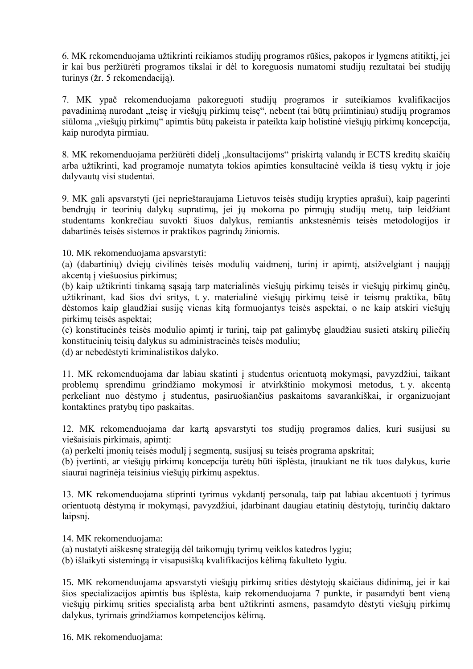6. MK rekomenduojama užtikrinti reikiamos studijų programos rūšies, pakopos ir lygmens atitiktį, jei ir kai bus peržiūrėti programos tikslai ir dėl to koreguosis numatomi studijų rezultatai bei studijų turinys (žr. 5 rekomendaciją).

7. MK ypač rekomenduojama pakoreguoti studijų programos ir suteikiamos kvalifikacijos pavadinimą nurodant "teisę ir viešųjų pirkimų teisę", nebent (tai būtų priimtiniau) studijų programos siūloma "viešųjų pirkimų" apimtis būtų pakeista ir pateikta kaip holistinė viešųjų pirkimų koncepcija, kaip nurodyta pirmiau.

8. MK rekomenduojama peržiūrėti didelį "konsultacijoms" priskirtą valandų ir ECTS kreditų skaičių arba užtikrinti, kad programoje numatyta tokios apimties konsultacinė veikla iš tiesų vyktų ir joje dalyvautų visi studentai.

9. MK gali apsvarstyti (jei neprieštaraujama Lietuvos teisės studijų krypties aprašui), kaip pagerinti bendrųjų ir teorinių dalykų supratimą, jei jų mokoma po pirmųjų studijų metų, taip leidžiant studentams konkrečiau suvokti šiuos dalykus, remiantis ankstesnėmis teisės metodologijos ir dabartinės teisės sistemos ir praktikos pagrindų žiniomis.

10. MK rekomenduojama apsvarstyti:

(a) (dabartinių) dviejų civilinės teisės modulių vaidmenį, turinį ir apimtį, atsižvelgiant į naująjį akcentą į viešuosius pirkimus;

(b) kaip užtikrinti tinkamą sąsają tarp materialinės viešųjų pirkimų teisės ir viešųjų pirkimų ginčų, užtikrinant, kad šios dvi sritys, t. y. materialinė viešųjų pirkimų teisė ir teismų praktika, būtų dėstomos kaip glaudžiai susiję vienas kitą formuojantys teisės aspektai, o ne kaip atskiri viešųjų pirkimų teisės aspektai;

(c) konstitucinės teisės modulio apimtį ir turinį, taip pat galimybę glaudžiau susieti atskirų piliečių konstitucinių teisių dalykus su administracinės teisės moduliu;

(d) ar nebedėstyti kriminalistikos dalyko.

11. MK rekomenduojama dar labiau skatinti į studentus orientuotą mokymąsi, pavyzdžiui, taikant problemų sprendimu grindžiamo mokymosi ir atvirkštinio mokymosi metodus, t. y. akcentą perkeliant nuo dėstymo į studentus, pasiruošiančius paskaitoms savarankiškai, ir organizuojant kontaktines pratybų tipo paskaitas.

12. MK rekomenduojama dar kartą apsvarstyti tos studijų programos dalies, kuri susijusi su viešaisiais pirkimais, apimtį:

(a) perkelti įmonių teisės modulį į segmentą, susijusį su teisės programa apskritai;

(b) įvertinti, ar viešųjų pirkimų koncepcija turėtų būti išplėsta, įtraukiant ne tik tuos dalykus, kurie siaurai nagrinėja teisinius viešųjų pirkimų aspektus.

13. MK rekomenduojama stiprinti tyrimus vykdantį personalą, taip pat labiau akcentuoti į tyrimus orientuotą dėstymą ir mokymąsi, pavyzdžiui, įdarbinant daugiau etatinių dėstytojų, turinčių daktaro laipsnį.

14. MK rekomenduojama:

(a) nustatyti aiškesnę strategiją dėl taikomųjų tyrimų veiklos katedros lygiu;

(b) išlaikyti sistemingą ir visapusišką kvalifikacijos kėlimą fakulteto lygiu.

15. MK rekomenduojama apsvarstyti viešųjų pirkimų srities dėstytojų skaičiaus didinimą, jei ir kai šios specializacijos apimtis bus išplėsta, kaip rekomenduojama 7 punkte, ir pasamdyti bent vieną viešųjų pirkimų srities specialistą arba bent užtikrinti asmens, pasamdyto dėstyti viešųjų pirkimų dalykus, tyrimais grindžiamos kompetencijos kėlimą.

16. MK rekomenduojama: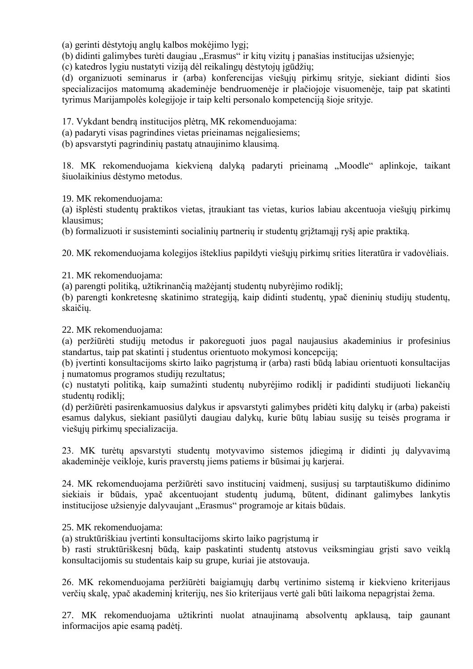(a) gerinti dėstytojų anglų kalbos mokėjimo lygį;

(b) didinti galimybes turėti daugiau "Erasmus" ir kitų vizitų į panašias institucijas užsienyje;

(c) katedros lygiu nustatyti viziją dėl reikalingų dėstytojų įgūdžių;

(d) organizuoti seminarus ir (arba) konferencijas viešųjų pirkimų srityje, siekiant didinti šios specializacijos matomumą akademinėje bendruomenėje ir plačiojoje visuomenėje, taip pat skatinti tyrimus Marijampolės kolegijoje ir taip kelti personalo kompetenciją šioje srityje.

17. Vykdant bendrą institucijos plėtrą, MK rekomenduojama:

(a) padaryti visas pagrindines vietas prieinamas neįgaliesiems;

(b) apsvarstyti pagrindinių pastatų atnaujinimo klausimą.

18. MK rekomenduojama kiekvieną dalyką padaryti prieinamą "Moodle" aplinkoje, taikant šiuolaikinius dėstymo metodus.

19. MK rekomenduojama:

(a) išplėsti studentų praktikos vietas, įtraukiant tas vietas, kurios labiau akcentuoja viešųjų pirkimų klausimus;

(b) formalizuoti ir susisteminti socialinių partnerių ir studentų grįžtamąjį ryšį apie praktiką.

20. MK rekomenduojama kolegijos išteklius papildyti viešųjų pirkimų srities literatūra ir vadovėliais.

21. MK rekomenduojama:

(a) parengti politiką, užtikrinančią mažėjantį studentų nubyrėjimo rodiklį;

(b) parengti konkretesnę skatinimo strategiją, kaip didinti studentų, ypač dieninių studijų studentų, skaičių.

22. MK rekomenduojama:

(a) peržiūrėti studijų metodus ir pakoreguoti juos pagal naujausius akademinius ir profesinius standartus, taip pat skatinti į studentus orientuoto mokymosi koncepciją;

(b) įvertinti konsultacijoms skirto laiko pagrįstumą ir (arba) rasti būdą labiau orientuoti konsultacijas į numatomus programos studijų rezultatus;

(c) nustatyti politiką, kaip sumažinti studentų nubyrėjimo rodiklį ir padidinti studijuoti liekančių studentų rodiklį;

(d) peržiūrėti pasirenkamuosius dalykus ir apsvarstyti galimybes pridėti kitų dalykų ir (arba) pakeisti esamus dalykus, siekiant pasiūlyti daugiau dalykų, kurie būtų labiau susiję su teisės programa ir viešųjų pirkimų specializacija.

23. MK turėtų apsvarstyti studentų motyvavimo sistemos įdiegimą ir didinti jų dalyvavimą akademinėje veikloje, kuris praverstų jiems patiems ir būsimai jų karjerai.

24. MK rekomenduojama peržiūrėti savo institucinį vaidmenį, susijusį su tarptautiškumo didinimo siekiais ir būdais, ypač akcentuojant studentų judumą, būtent, didinant galimybes lankytis institucijose užsienyje dalyvaujant "Erasmus" programoje ar kitais būdais.

25. MK rekomenduojama:

(a) struktūriškiau įvertinti konsultacijoms skirto laiko pagrįstumą ir

b) rasti struktūriškesnį būdą, kaip paskatinti studentų atstovus veiksmingiau grįsti savo veiklą konsultacijomis su studentais kaip su grupe, kuriai jie atstovauja.

26. MK rekomenduojama peržiūrėti baigiamųjų darbų vertinimo sistemą ir kiekvieno kriterijaus verčių skalę, ypač akademinį kriterijų, nes šio kriterijaus vertė gali būti laikoma nepagrįstai žema.

27. MK rekomenduojama užtikrinti nuolat atnaujinamą absolventų apklausą, taip gaunant informacijos apie esamą padėtį.